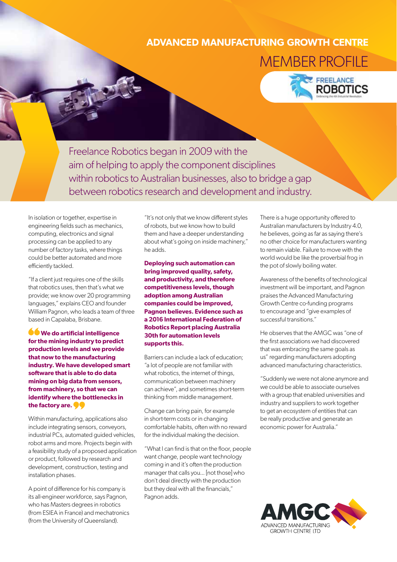## **ADVANCED MANUFACTURING GROWTH CENTRE**

MEMBER PROFILE



Freelance Robotics began in 2009 with the aim of helping to apply the component disciplines within robotics to Australian businesses, also to bridge a gap between robotics research and development and industry.

In isolation or together, expertise in engineering fields such as mechanics, computing, electronics and signal processing can be applied to any number of factory tasks, where things could be better automated and more efficiently tackled.

"If a client just requires one of the skills that robotics uses, then that's what we provide; we know over 20 programming languages," explains CEO and founder William Pagnon, who leads a team of three based in Capalaba, Brisbane.

**We do artificial intelligence for the mining industry to predict production levels and we provide that now to the manufacturing industry. We have developed smart software that is able to do data mining on big data from sensors, from machinery, so that we can identify where the bottlenecks in the factory are.** 

Within manufacturing, applications also include integrating sensors, conveyors, industrial PCs, automated guided vehicles, robot arms and more. Projects begin with a feasibility study of a proposed application or product, followed by research and development, construction, testing and installation phases.

A point of difference for his company is its all-engineer workforce, says Pagnon, who has Masters degrees in robotics (from ESIEA in France) and mechatronics (from the University of Queensland).

"It's not only that we know different styles of robots, but we know how to build them and have a deeper understanding about what's going on inside machinery," he adds.

**Deploying such automation can bring improved quality, safety, and productivity, and therefore competitiveness levels, though adoption among Australian companies could be improved, Pagnon believes. Evidence such as a 2016 International Federation of Robotics Report placing Australia 30th for automation levels supports this.**

Barriers can include a lack of education; "a lot of people are not familiar with what robotics, the internet of things, communication between machinery can achieve", and sometimes short-term thinking from middle management.

Change can bring pain, for example in short-term costs or in changing comfortable habits, often with no reward for the individual making the decision.

"What I can find is that on the floor, people want change, people want technology coming in and it's often the production manager that calls you... [not those] who don't deal directly with the production but they deal with all the financials," Pagnon adds.

There is a huge opportunity offered to Australian manufacturers by Industry 4.0, he believes, going as far as saying there's no other choice for manufacturers wanting to remain viable. Failure to move with the world would be like the proverbial frog in the pot of slowly boiling water.

Awareness of the benefits of technological investment will be important, and Pagnon praises the Advanced Manufacturing Growth Centre co-funding programs to encourage and "give examples of successful transitions."

He observes that the AMGC was "one of the first associations we had discovered that was embracing the same goals as us" regarding manufacturers adopting advanced manufacturing characteristics.

"Suddenly we were not alone anymore and we could be able to associate ourselves with a group that enabled universities and industry and suppliers to work together to get an ecosystem of entities that can be really productive and generate an economic power for Australia."